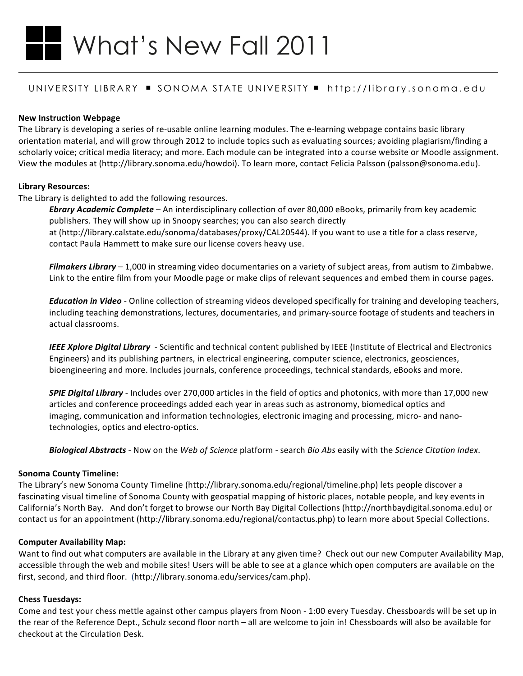# What's New Fall 2011

# UNIVERSITY LIBRARY • SONOMA STATE UNIVERSITY • http://library.sonoma.edu

# **New!Instruction!Webpage**

The Library is developing a series of re-usable online learning modules. The e-learning webpage contains basic library orientation material, and will grow through 2012 to include topics such as evaluating sources; avoiding plagiarism/finding a scholarly voice; critical media literacy; and more. Each module can be integrated into a course website or Moodle assignment. View the modules at (http://library.sonoma.edu/howdoi). To learn more, contact Felicia Palsson (palsson@sonoma.edu).

# **Library!Resources:**

The Library is delighted to add the following resources.

**Ebrary Academic Complete** – An interdisciplinary collection of over 80,000 eBooks, primarily from key academic publishers. They will show up in Snoopy searches; you can also search directly at (http://library.calstate.edu/sonoma/databases/proxy/CAL20544). If you want to use a title for a class reserve, contact Paula Hammett to make sure our license covers heavy use.

Filmakers Library – 1,000 in streaming video documentaries on a variety of subject areas, from autism to Zimbabwe. Link to the entire film from your Moodle page or make clips of relevant sequences and embed them in course pages.

*Education in Video* - Online collection of streaming videos developed specifically for training and developing teachers, including teaching demonstrations, lectures, documentaries, and primary-source footage of students and teachers in actual classrooms.

IEEE Xplore Digital Library - Scientific and technical content published by IEEE (Institute of Electrical and Electronics Engineers) and its publishing partners, in electrical engineering, computer science, electronics, geosciences, bioengineering and more. Includes journals, conference proceedings, technical standards, eBooks and more.

**SPIE Digital Library** - Includes over 270,000 articles in the field of optics and photonics, with more than 17,000 new articles and conference proceedings added each year in areas such as astronomy, biomedical optics and imaging, communication and information technologies, electronic imaging and processing, micro- and nanotechnologies, optics and electro-optics.

Biological Abstracts - Now on the *Web of Science* platform - search *Bio Abs* easily with the *Science Citation Index*.

# **Sonoma County Timeline:**

The Library's new Sonoma County Timeline (http://library.sonoma.edu/regional/timeline.php) lets people discover a fascinating visual timeline of Sonoma County with geospatial mapping of historic places, notable people, and key events in California's North Bay. And don't forget to browse our North Bay Digital Collections (http://northbaydigital.sonoma.edu) or contact us for an appointment (http://library.sonoma.edu/regional/contactus.php) to learn more about Special Collections.

# **Computer Availability Map:**

Want to find out what computers are available in the Library at any given time? Check out our new Computer Availability Map, accessible through the web and mobile sites! Users will be able to see at a glance which open computers are available on the first, second, and third floor. (http://library.sonoma.edu/services/cam.php).

# **Chess Tuesdays:**

Come and test your chess mettle against other campus players from Noon - 1:00 every Tuesday. Chessboards will be set up in the rear of the Reference Dept., Schulz second floor north – all are welcome to join in! Chessboards will also be available for checkout at the Circulation Desk.